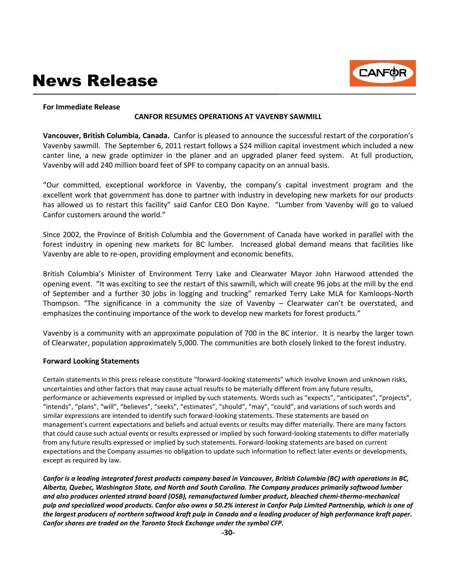# News Release



#### **For Immediate Release**

### **CANFOR RESUMES OPERATIONS AT VAVENBY SAWMILL**

**Vancouver, British Columbia, Canada.** Canfor is pleased to announce the successful restart of the corporation's Vavenby sawmill. The September 6, 2011 restart follows a \$24 million capital investment which included a new canter line, a new grade optimizer in the planer and an upgraded planer feed system. At full production, Vavenby will add 240 million board feet of SPF to company capacity on an annual basis.

"Our committed, exceptional workforce in Vavenby, the company's capital investment program and the excellent work that government has done to partner with industry in developing new markets for our products has allowed us to restart this facility" said Canfor CEO Don Kayne. "Lumber from Vavenby will go to valued Canfor customers around the world."

Since 2002, the Province of British Columbia and the Government of Canada have worked in parallel with the forest industry in opening new markets for BC lumber. Increased global demand means that facilities like Vavenby are able to re-open, providing employment and economic benefits.

British Columbia's Minister of Environment Terry Lake and Clearwater Mayor John Harwood attended the opening event. "It was exciting to see the restart of this sawmill, which will create 96 jobs at the mill by the end of September and a further 30 jobs in logging and trucking" remarked Terry Lake MLA for Kamloops-North Thompson. "The significance in a community the size of Vavenby – Clearwater can't be overstated, and emphasizes the continuing importance of the work to develop new markets for forest products."

Vavenby is a community with an approximate population of 700 in the BC interior. It is nearby the larger town of Clearwater, population approximately 5,000. The communities are both closely linked to the forest industry.

#### **Forward Looking Statements**

Certain statements in this press release constitute "forward-looking statements" which involve known and unknown risks, uncertainties and other factors that may cause actual results to be materially different from any future results, performance or achievements expressed or implied by such statements. Words such as "expects", "anticipates", "projects", "intends", "plans", "will", "believes", "seeks", "estimates", "should", "may", "could", and variations of such words and similar expressions are intended to identify such forward-looking statements. These statements are based on management's current expectations and beliefs and actual events or results may differ materially. There are many factors that could cause such actual events or results expressed or implied by such forward-looking statements to differ materially from any future results expressed or implied by such statements. Forward-looking statements are based on current expectations and the Company assumes no obligation to update such information to reflect later events or developments, except as required by law.

*Canfor is a leading integrated forest products company based in Vancouver, British Columbia (BC) with operations in BC, Alberta, Quebec, Washington State, and North and South Carolina. The Company produces primarily softwood lumber and also produces oriented strand board (OSB), remanufactured lumber product, bleached chemi-thermo-mechanical pulp and specialized wood products. Canfor also owns a 50.2% interest in Canfor Pulp Limited Partnership, which is one of the largest producers of northern softwood kraft pulp in Canada and a leading producer of high performance kraft paper. Canfor shares are traded on the Toronto Stock Exchange under the symbol CFP.*